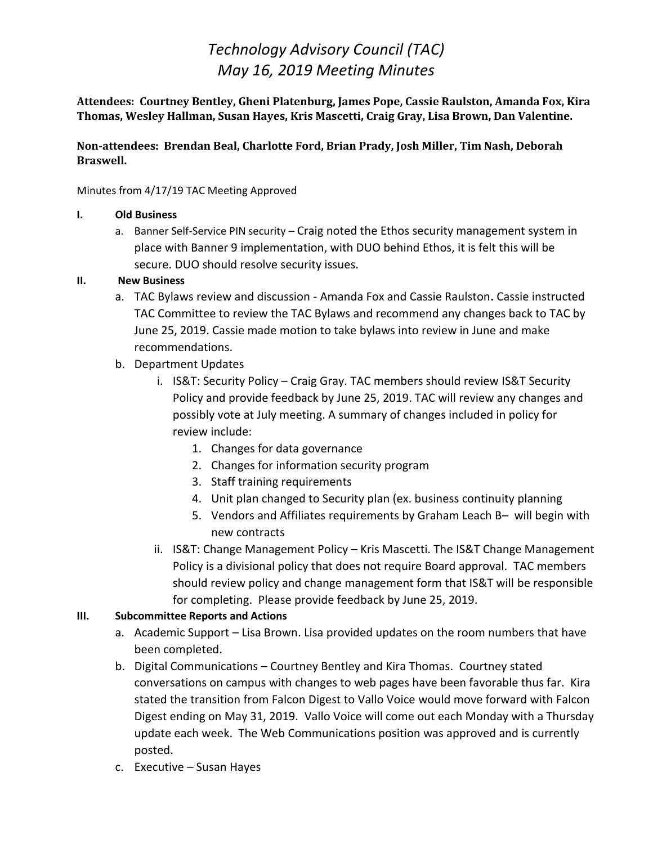# *Technology Advisory Council (TAC) May 16, 2019 Meeting Minutes*

**Attendees: Courtney Bentley, Gheni Platenburg, James Pope, Cassie Raulston, Amanda Fox, Kira Thomas, Wesley Hallman, Susan Hayes, Kris Mascetti, Craig Gray, Lisa Brown, Dan Valentine.** 

#### **Non-attendees: Brendan Beal, Charlotte Ford, Brian Prady, Josh Miller, Tim Nash, Deborah Braswell.**

Minutes from 4/17/19 TAC Meeting Approved

#### **I. Old Business**

a. Banner Self-Service PIN security – Craig noted the Ethos security management system in place with Banner 9 implementation, with DUO behind Ethos, it is felt this will be secure. DUO should resolve security issues.

### **II. New Business**

- a. TAC Bylaws review and discussion Amanda Fox and Cassie Raulston**.** Cassie instructed TAC Committee to review the TAC Bylaws and recommend any changes back to TAC by June 25, 2019. Cassie made motion to take bylaws into review in June and make recommendations.
- b. Department Updates
	- i. IS&T: Security Policy Craig Gray. TAC members should review IS&T Security Policy and provide feedback by June 25, 2019. TAC will review any changes and possibly vote at July meeting. A summary of changes included in policy for review include:
		- 1. Changes for data governance
		- 2. Changes for information security program
		- 3. Staff training requirements
		- 4. Unit plan changed to Security plan (ex. business continuity planning
		- 5. Vendors and Affiliates requirements by Graham Leach B– will begin with new contracts
	- ii. IS&T: Change Management Policy Kris Mascetti. The IS&T Change Management Policy is a divisional policy that does not require Board approval. TAC members should review policy and change management form that IS&T will be responsible for completing. Please provide feedback by June 25, 2019.

### **III. Subcommittee Reports and Actions**

- a. Academic Support Lisa Brown. Lisa provided updates on the room numbers that have been completed.
- b. Digital Communications Courtney Bentley and Kira Thomas. Courtney stated conversations on campus with changes to web pages have been favorable thus far. Kira stated the transition from Falcon Digest to Vallo Voice would move forward with Falcon Digest ending on May 31, 2019. Vallo Voice will come out each Monday with a Thursday update each week. The Web Communications position was approved and is currently posted.
- c. Executive Susan Hayes